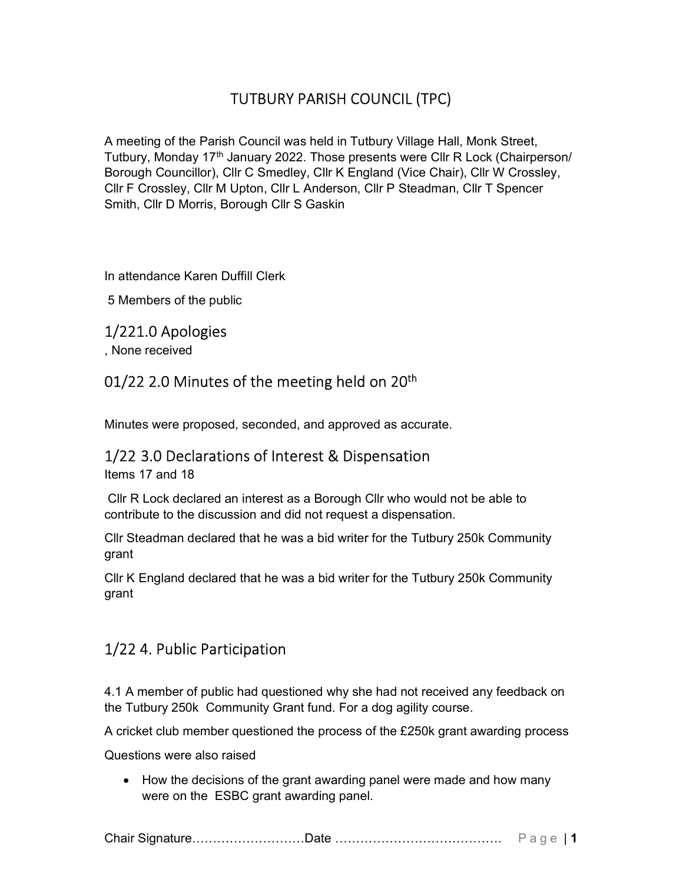# TUTBURY PARISH COUNCIL (TPC)

A meeting of the Parish Council was held in Tutbury Village Hall, Monk Street, Tutbury, Monday 17<sup>th</sup> January 2022. Those presents were CIIr R Lock (Chairperson/ Borough Councillor), Cllr C Smedley, Cllr K England (Vice Chair), Cllr W Crossley, Cllr F Crossley, Cllr M Upton, Cllr L Anderson, Cllr P Steadman, Cllr T Spencer Smith, Cllr D Morris, Borough Cllr S Gaskin

In attendance Karen Duffill Clerk

5 Members of the public

#### 1/221.0 Apologies

, None received

#### 01/22 2.0 Minutes of the meeting held on 20<sup>th</sup>

Minutes were proposed, seconded, and approved as accurate.

#### 1/22 3.0 Declarations of Interest & Dispensation

Items 17 and 18

 Cllr R Lock declared an interest as a Borough Cllr who would not be able to contribute to the discussion and did not request a dispensation.

Cllr Steadman declared that he was a bid writer for the Tutbury 250k Community grant

Cllr K England declared that he was a bid writer for the Tutbury 250k Community grant

## 1/22 4. Public Participation

4.1 A member of public had questioned why she had not received any feedback on the Tutbury 250k Community Grant fund. For a dog agility course.

A cricket club member questioned the process of the £250k grant awarding process

Questions were also raised

• How the decisions of the grant awarding panel were made and how many were on the ESBC grant awarding panel.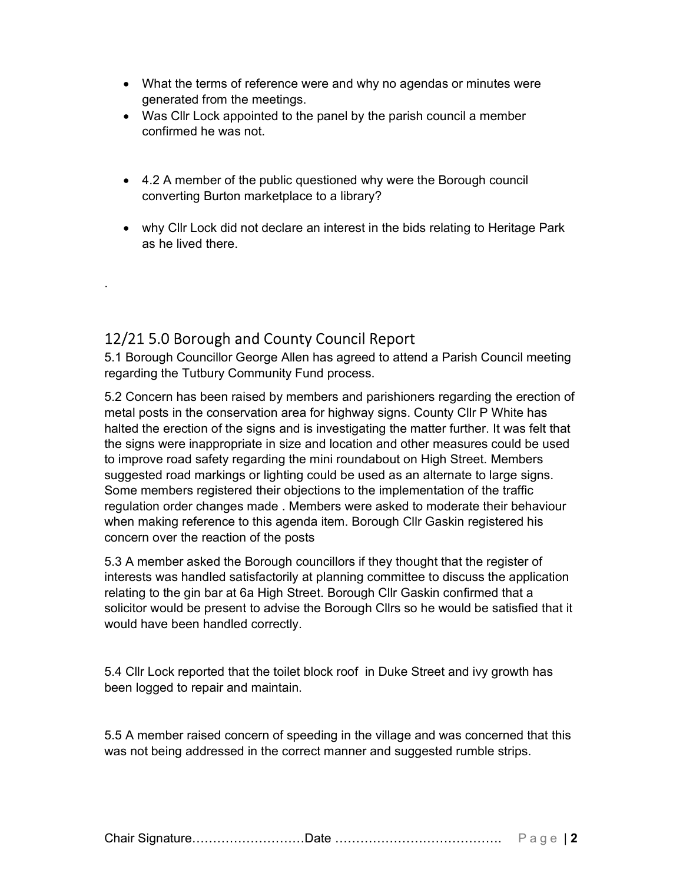- What the terms of reference were and why no agendas or minutes were generated from the meetings.
- Was Cllr Lock appointed to the panel by the parish council a member confirmed he was not.
- 4.2 A member of the public questioned why were the Borough council converting Burton marketplace to a library?
- why Cllr Lock did not declare an interest in the bids relating to Heritage Park as he lived there.

## 12/21 5.0 Borough and County Council Report

.

5.1 Borough Councillor George Allen has agreed to attend a Parish Council meeting regarding the Tutbury Community Fund process.

5.2 Concern has been raised by members and parishioners regarding the erection of metal posts in the conservation area for highway signs. County Cllr P White has halted the erection of the signs and is investigating the matter further. It was felt that the signs were inappropriate in size and location and other measures could be used to improve road safety regarding the mini roundabout on High Street. Members suggested road markings or lighting could be used as an alternate to large signs. Some members registered their objections to the implementation of the traffic regulation order changes made . Members were asked to moderate their behaviour when making reference to this agenda item. Borough Cllr Gaskin registered his concern over the reaction of the posts

5.3 A member asked the Borough councillors if they thought that the register of interests was handled satisfactorily at planning committee to discuss the application relating to the gin bar at 6a High Street. Borough Cllr Gaskin confirmed that a solicitor would be present to advise the Borough Cllrs so he would be satisfied that it would have been handled correctly.

5.4 Cllr Lock reported that the toilet block roof in Duke Street and ivy growth has been logged to repair and maintain.

5.5 A member raised concern of speeding in the village and was concerned that this was not being addressed in the correct manner and suggested rumble strips.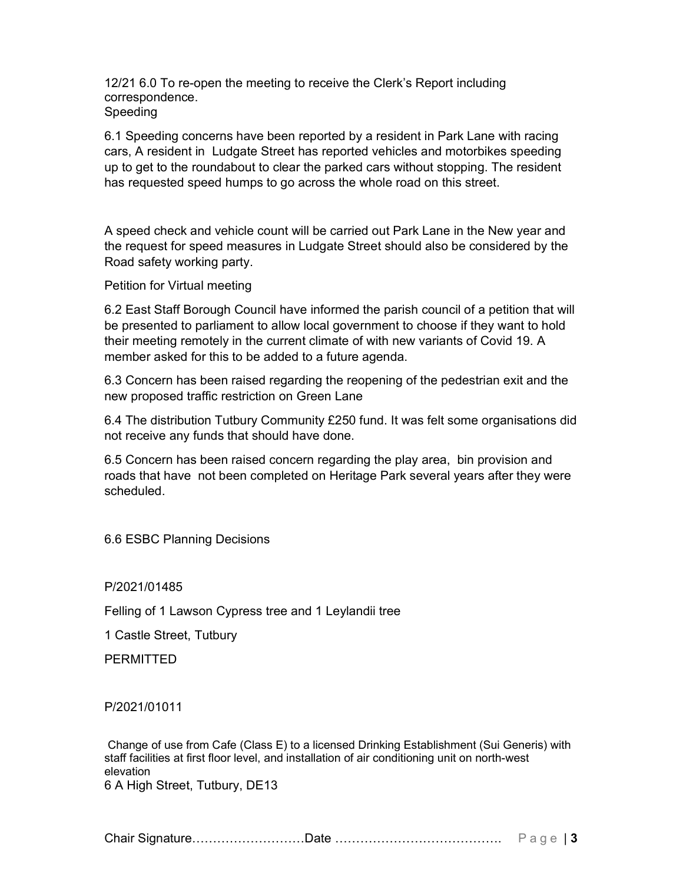12/21 6.0 To re-open the meeting to receive the Clerk's Report including correspondence. Speeding

6.1 Speeding concerns have been reported by a resident in Park Lane with racing cars, A resident in Ludgate Street has reported vehicles and motorbikes speeding up to get to the roundabout to clear the parked cars without stopping. The resident has requested speed humps to go across the whole road on this street.

A speed check and vehicle count will be carried out Park Lane in the New year and the request for speed measures in Ludgate Street should also be considered by the Road safety working party.

Petition for Virtual meeting

6.2 East Staff Borough Council have informed the parish council of a petition that will be presented to parliament to allow local government to choose if they want to hold their meeting remotely in the current climate of with new variants of Covid 19. A member asked for this to be added to a future agenda.

6.3 Concern has been raised regarding the reopening of the pedestrian exit and the new proposed traffic restriction on Green Lane

6.4 The distribution Tutbury Community £250 fund. It was felt some organisations did not receive any funds that should have done.

6.5 Concern has been raised concern regarding the play area, bin provision and roads that have not been completed on Heritage Park several years after they were scheduled.

6.6 ESBC Planning Decisions

P/2021/01485

Felling of 1 Lawson Cypress tree and 1 Leylandii tree

1 Castle Street, Tutbury

**PERMITTED** 

P/2021/01011

Change of use from Cafe (Class E) to a licensed Drinking Establishment (Sui Generis) with staff facilities at first floor level, and installation of air conditioning unit on north-west elevation 6 A High Street, Tutbury, DE13

Chair Signature………………………Date …………………………………. P a g e | 3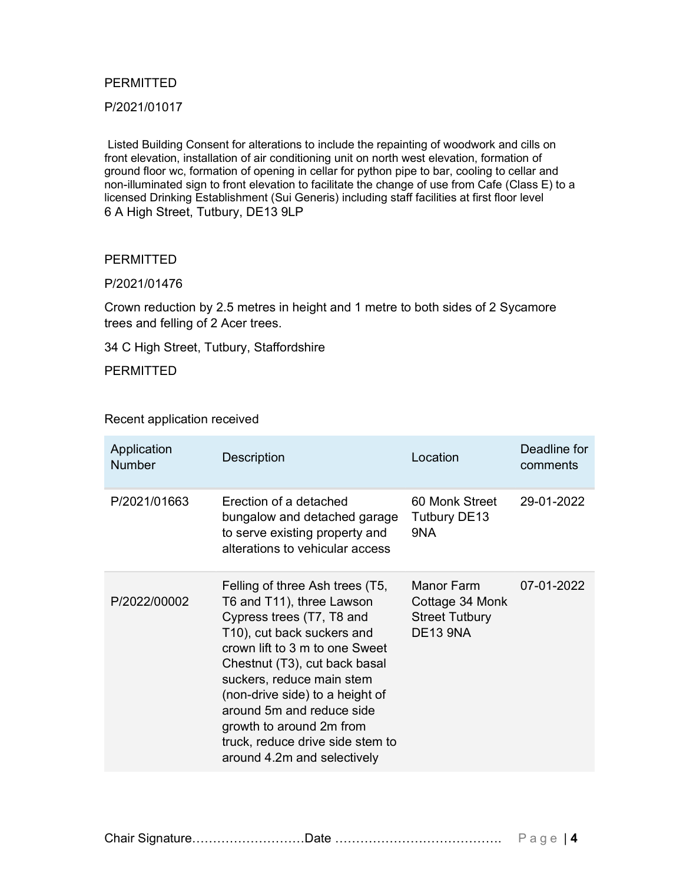#### **PERMITTED**

P/2021/01017

Listed Building Consent for alterations to include the repainting of woodwork and cills on front elevation, installation of air conditioning unit on north west elevation, formation of ground floor wc, formation of opening in cellar for python pipe to bar, cooling to cellar and non-illuminated sign to front elevation to facilitate the change of use from Cafe (Class E) to a licensed Drinking Establishment (Sui Generis) including staff facilities at first floor level 6 A High Street, Tutbury, DE13 9LP

#### PERMITTED

#### P/2021/01476

Crown reduction by 2.5 metres in height and 1 metre to both sides of 2 Sycamore trees and felling of 2 Acer trees.

34 C High Street, Tutbury, Staffordshire

PERMITTED

#### Recent application received

| Application<br><b>Number</b> | <b>Description</b>                                                                                                                                                                                                                                                                                                                                                                     | Location                                                                  | Deadline for<br>comments |
|------------------------------|----------------------------------------------------------------------------------------------------------------------------------------------------------------------------------------------------------------------------------------------------------------------------------------------------------------------------------------------------------------------------------------|---------------------------------------------------------------------------|--------------------------|
| P/2021/01663                 | Erection of a detached<br>bungalow and detached garage<br>to serve existing property and<br>alterations to vehicular access                                                                                                                                                                                                                                                            | 60 Monk Street<br><b>Tutbury DE13</b><br>9NA                              | 29-01-2022               |
| P/2022/00002                 | Felling of three Ash trees (T5,<br>T6 and T11), three Lawson<br>Cypress trees (T7, T8 and<br>T10), cut back suckers and<br>crown lift to 3 m to one Sweet<br>Chestnut (T3), cut back basal<br>suckers, reduce main stem<br>(non-drive side) to a height of<br>around 5m and reduce side<br>growth to around 2m from<br>truck, reduce drive side stem to<br>around 4.2m and selectively | Manor Farm<br>Cottage 34 Monk<br><b>Street Tutbury</b><br><b>DE13 9NA</b> | 07-01-2022               |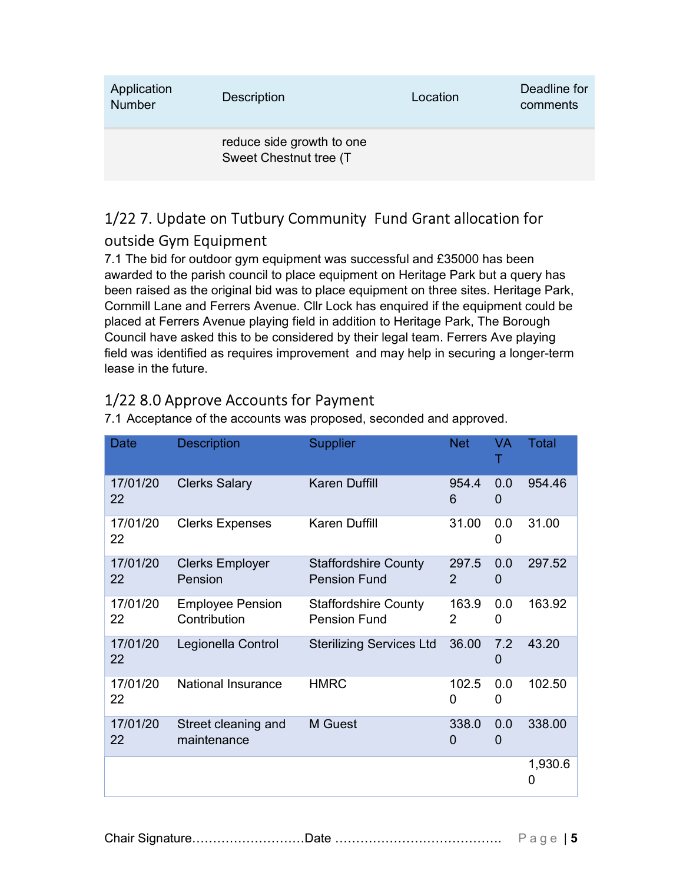| Application<br><b>Number</b> | <b>Description</b>                                  | Location | Deadline for<br>comments |
|------------------------------|-----------------------------------------------------|----------|--------------------------|
|                              | reduce side growth to one<br>Sweet Chestnut tree (T |          |                          |

# 1/22 7. Update on Tutbury Community Fund Grant allocation for outside Gym Equipment

7.1 The bid for outdoor gym equipment was successful and £35000 has been awarded to the parish council to place equipment on Heritage Park but a query has been raised as the original bid was to place equipment on three sites. Heritage Park, Cornmill Lane and Ferrers Avenue. Cllr Lock has enquired if the equipment could be placed at Ferrers Avenue playing field in addition to Heritage Park, The Borough Council have asked this to be considered by their legal team. Ferrers Ave playing field was identified as requires improvement and may help in securing a longer-term lease in the future.

# 1/22 8.0 Approve Accounts for Payment

| Date           | <b>Description</b>                      | <b>Supplier</b>                                    | <b>Net</b>        | VA       | <b>Total</b> |
|----------------|-----------------------------------------|----------------------------------------------------|-------------------|----------|--------------|
| 17/01/20<br>22 | <b>Clerks Salary</b>                    | <b>Karen Duffill</b>                               | 954.4<br>6        | 0.0<br>0 | 954.46       |
| 17/01/20<br>22 | <b>Clerks Expenses</b>                  | <b>Karen Duffill</b>                               | 31.00             | 0.0<br>0 | 31.00        |
| 17/01/20<br>22 | <b>Clerks Employer</b><br>Pension       | <b>Staffordshire County</b><br><b>Pension Fund</b> | 297.5<br>2        | 0.0<br>0 | 297.52       |
| 17/01/20<br>22 | <b>Employee Pension</b><br>Contribution | <b>Staffordshire County</b><br><b>Pension Fund</b> | 163.9<br>2        | 0.0<br>0 | 163.92       |
| 17/01/20<br>22 | Legionella Control                      | <b>Sterilizing Services Ltd</b>                    | 36.00             | 7.2<br>0 | 43.20        |
| 17/01/20<br>22 | <b>National Insurance</b>               | <b>HMRC</b>                                        | 102.5<br>0        | 0.0<br>0 | 102.50       |
| 17/01/20<br>22 | Street cleaning and<br>maintenance      | M Guest                                            | 338.0<br>$\Omega$ | 0.0<br>0 | 338.00       |
|                |                                         |                                                    |                   |          | 1,930.6<br>0 |

7.1 Acceptance of the accounts was proposed, seconded and approved.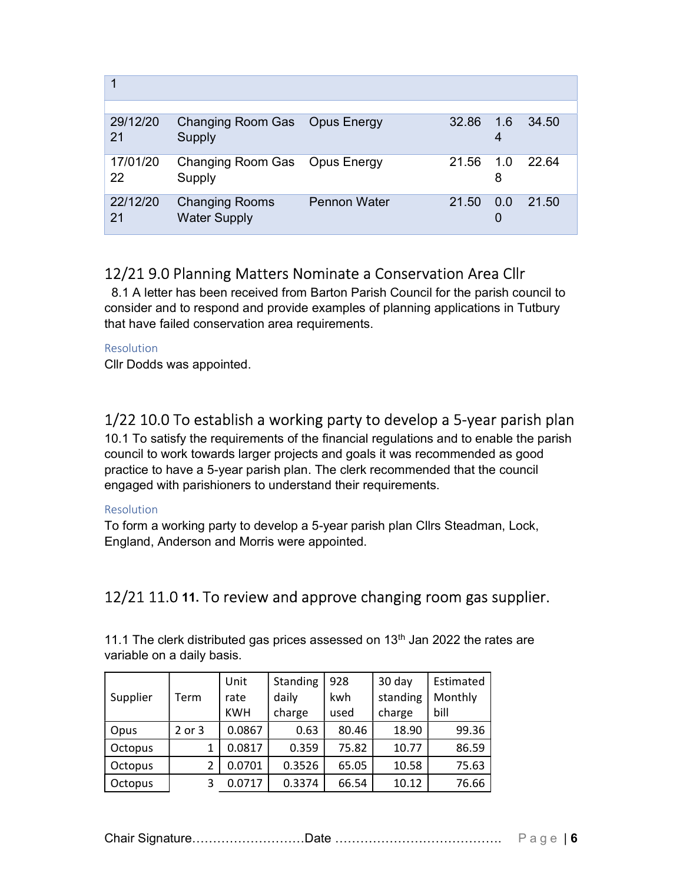| 29/12/20<br>21 | Changing Room Gas Opus Energy<br>Supply      |                     | 32.86 | $-1.6$<br>4 | 34.50 |
|----------------|----------------------------------------------|---------------------|-------|-------------|-------|
| 17/01/20<br>22 | Changing Room Gas Opus Energy<br>Supply      |                     | 21.56 | 1.0<br>8    | 22.64 |
| 22/12/20<br>21 | <b>Changing Rooms</b><br><b>Water Supply</b> | <b>Pennon Water</b> | 21.50 | 0.0<br>O    | 21.50 |

## 12/21 9.0 Planning Matters Nominate a Conservation Area Cllr

 8.1 A letter has been received from Barton Parish Council for the parish council to consider and to respond and provide examples of planning applications in Tutbury that have failed conservation area requirements.

#### Resolution

Cllr Dodds was appointed.

## 1/22 10.0 To establish a working party to develop a 5-year parish plan

10.1 To satisfy the requirements of the financial regulations and to enable the parish council to work towards larger projects and goals it was recommended as good practice to have a 5-year parish plan. The clerk recommended that the council engaged with parishioners to understand their requirements.

#### Resolution

To form a working party to develop a 5-year parish plan Cllrs Steadman, Lock, England, Anderson and Morris were appointed.

## 12/21 11.0 11. To review and approve changing room gas supplier.

11.1 The clerk distributed gas prices assessed on  $13<sup>th</sup>$  Jan 2022 the rates are variable on a daily basis.

| Supplier | Term   | Unit<br>rate | Standing<br>daily | 928<br>kwh | 30 day<br>standing | Estimated<br>Monthly |
|----------|--------|--------------|-------------------|------------|--------------------|----------------------|
|          |        | <b>KWH</b>   | charge            | used       | charge             | bill                 |
| Opus     | 2 or 3 | 0.0867       | 0.63              | 80.46      | 18.90              | 99.36                |
| Octopus  | 1      | 0.0817       | 0.359             | 75.82      | 10.77              | 86.59                |
| Octopus  | 2      | 0.0701       | 0.3526            | 65.05      | 10.58              | 75.63                |
| Octopus  | 3      | 0.0717       | 0.3374            | 66.54      | 10.12              | 76.66                |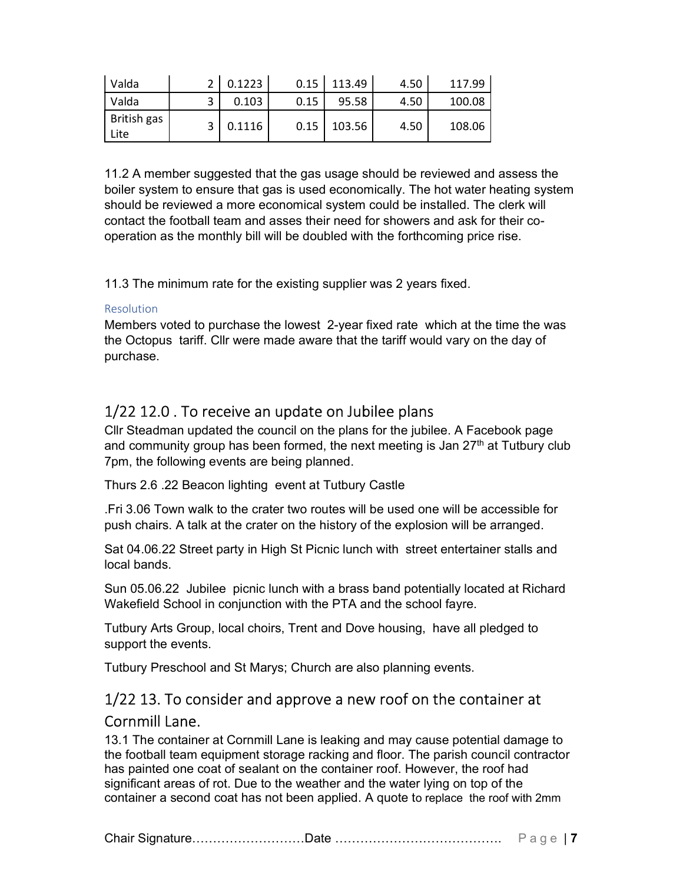| Valda               |   | 0.1223 | 0.15 | 113.49 | 4.50 | 117.99 |
|---------------------|---|--------|------|--------|------|--------|
| Valda               | ∍ | 0.103  | 0.15 | 95.58  | 4.50 | 100.08 |
| British gas<br>Lite |   | 0.1116 | 0.15 | 103.56 | 4.50 | 108.06 |

11.2 A member suggested that the gas usage should be reviewed and assess the boiler system to ensure that gas is used economically. The hot water heating system should be reviewed a more economical system could be installed. The clerk will contact the football team and asses their need for showers and ask for their cooperation as the monthly bill will be doubled with the forthcoming price rise.

11.3 The minimum rate for the existing supplier was 2 years fixed.

#### Resolution

Members voted to purchase the lowest 2-year fixed rate which at the time the was the Octopus tariff. Cllr were made aware that the tariff would vary on the day of purchase.

## 1/22 12.0 . To receive an update on Jubilee plans

Cllr Steadman updated the council on the plans for the jubilee. A Facebook page and community group has been formed, the next meeting is Jan  $27<sup>th</sup>$  at Tutbury club 7pm, the following events are being planned.

Thurs 2.6 .22 Beacon lighting event at Tutbury Castle

.Fri 3.06 Town walk to the crater two routes will be used one will be accessible for push chairs. A talk at the crater on the history of the explosion will be arranged.

Sat 04.06.22 Street party in High St Picnic lunch with street entertainer stalls and local bands.

Sun 05.06.22 Jubilee picnic lunch with a brass band potentially located at Richard Wakefield School in conjunction with the PTA and the school fayre.

Tutbury Arts Group, local choirs, Trent and Dove housing, have all pledged to support the events.

Tutbury Preschool and St Marys; Church are also planning events.

# 1/22 13. To consider and approve a new roof on the container at Cornmill Lane.

13.1 The container at Cornmill Lane is leaking and may cause potential damage to the football team equipment storage racking and floor. The parish council contractor has painted one coat of sealant on the container roof. However, the roof had significant areas of rot. Due to the weather and the water lying on top of the container a second coat has not been applied. A quote to replace the roof with 2mm

Chair Signature………………………Date …………………………………. P a g e | 7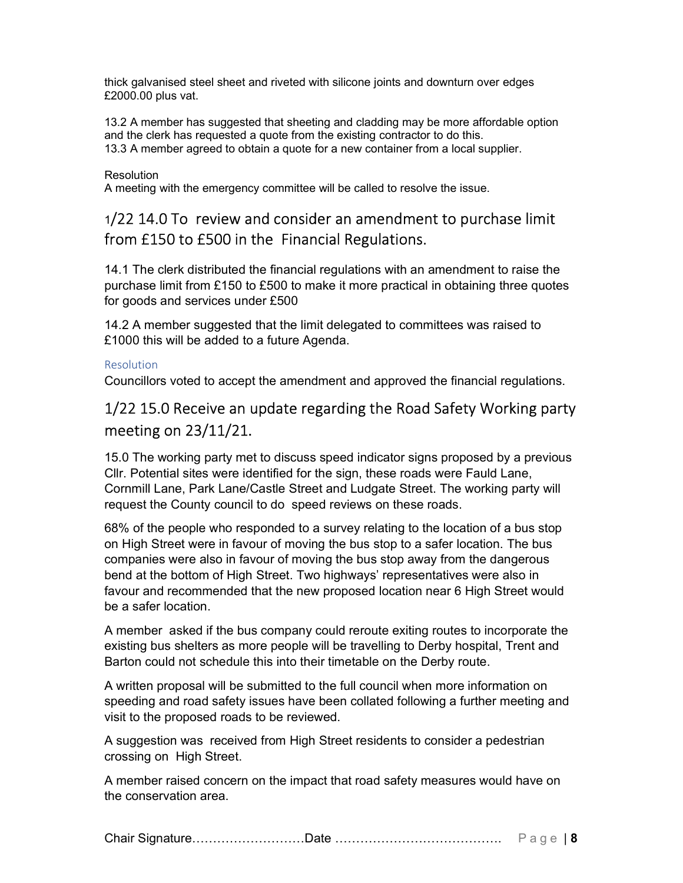thick galvanised steel sheet and riveted with silicone joints and downturn over edges £2000.00 plus vat.

13.2 A member has suggested that sheeting and cladding may be more affordable option and the clerk has requested a quote from the existing contractor to do this. 13.3 A member agreed to obtain a quote for a new container from a local supplier.

#### **Resolution**

A meeting with the emergency committee will be called to resolve the issue.

## <sup>1</sup>/22 14.0 To review and consider an amendment to purchase limit from £150 to £500 in the Financial Regulations.

14.1 The clerk distributed the financial regulations with an amendment to raise the purchase limit from £150 to £500 to make it more practical in obtaining three quotes for goods and services under £500

14.2 A member suggested that the limit delegated to committees was raised to £1000 this will be added to a future Agenda.

#### Resolution

Councillors voted to accept the amendment and approved the financial regulations.

## 1/22 15.0 Receive an update regarding the Road Safety Working party meeting on 23/11/21.

15.0 The working party met to discuss speed indicator signs proposed by a previous Cllr. Potential sites were identified for the sign, these roads were Fauld Lane, Cornmill Lane, Park Lane/Castle Street and Ludgate Street. The working party will request the County council to do speed reviews on these roads.

68% of the people who responded to a survey relating to the location of a bus stop on High Street were in favour of moving the bus stop to a safer location. The bus companies were also in favour of moving the bus stop away from the dangerous bend at the bottom of High Street. Two highways' representatives were also in favour and recommended that the new proposed location near 6 High Street would be a safer location.

A member asked if the bus company could reroute exiting routes to incorporate the existing bus shelters as more people will be travelling to Derby hospital, Trent and Barton could not schedule this into their timetable on the Derby route.

A written proposal will be submitted to the full council when more information on speeding and road safety issues have been collated following a further meeting and visit to the proposed roads to be reviewed.

A suggestion was received from High Street residents to consider a pedestrian crossing on High Street.

A member raised concern on the impact that road safety measures would have on the conservation area.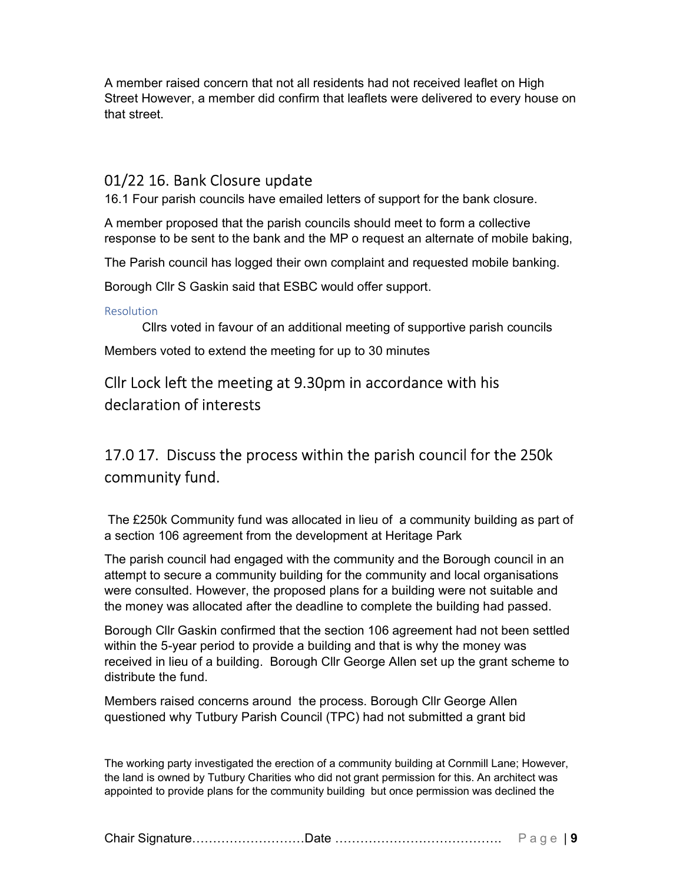A member raised concern that not all residents had not received leaflet on High Street However, a member did confirm that leaflets were delivered to every house on that street.

### 01/22 16. Bank Closure update

16.1 Four parish councils have emailed letters of support for the bank closure.

A member proposed that the parish councils should meet to form a collective response to be sent to the bank and the MP o request an alternate of mobile baking,

The Parish council has logged their own complaint and requested mobile banking.

Borough Cllr S Gaskin said that ESBC would offer support.

**Resolution** 

Cllrs voted in favour of an additional meeting of supportive parish councils

Members voted to extend the meeting for up to 30 minutes

## Cllr Lock left the meeting at 9.30pm in accordance with his declaration of interests

# 17.0 17. Discuss the process within the parish council for the 250k community fund.

 The £250k Community fund was allocated in lieu of a community building as part of a section 106 agreement from the development at Heritage Park

The parish council had engaged with the community and the Borough council in an attempt to secure a community building for the community and local organisations were consulted. However, the proposed plans for a building were not suitable and the money was allocated after the deadline to complete the building had passed.

Borough Cllr Gaskin confirmed that the section 106 agreement had not been settled within the 5-year period to provide a building and that is why the money was received in lieu of a building. Borough Cllr George Allen set up the grant scheme to distribute the fund.

Members raised concerns around the process. Borough Cllr George Allen questioned why Tutbury Parish Council (TPC) had not submitted a grant bid

The working party investigated the erection of a community building at Cornmill Lane; However, the land is owned by Tutbury Charities who did not grant permission for this. An architect was appointed to provide plans for the community building but once permission was declined the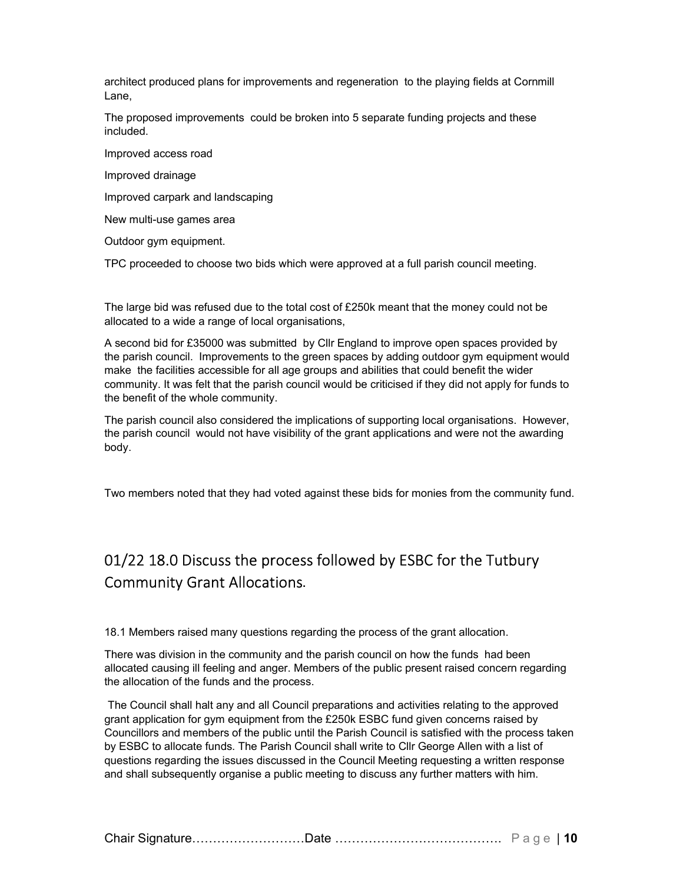architect produced plans for improvements and regeneration to the playing fields at Cornmill Lane,

The proposed improvements could be broken into 5 separate funding projects and these included.

Improved access road

Improved drainage

Improved carpark and landscaping

New multi-use games area

Outdoor gym equipment.

TPC proceeded to choose two bids which were approved at a full parish council meeting.

The large bid was refused due to the total cost of £250k meant that the money could not be allocated to a wide a range of local organisations,

A second bid for £35000 was submitted by Cllr England to improve open spaces provided by the parish council. Improvements to the green spaces by adding outdoor gym equipment would make the facilities accessible for all age groups and abilities that could benefit the wider community. It was felt that the parish council would be criticised if they did not apply for funds to the benefit of the whole community.

The parish council also considered the implications of supporting local organisations. However, the parish council would not have visibility of the grant applications and were not the awarding body.

Two members noted that they had voted against these bids for monies from the community fund.

# 01/22 18.0 Discuss the process followed by ESBC for the Tutbury Community Grant Allocations.

18.1 Members raised many questions regarding the process of the grant allocation.

There was division in the community and the parish council on how the funds had been allocated causing ill feeling and anger. Members of the public present raised concern regarding the allocation of the funds and the process.

The Council shall halt any and all Council preparations and activities relating to the approved grant application for gym equipment from the £250k ESBC fund given concerns raised by Councillors and members of the public until the Parish Council is satisfied with the process taken by ESBC to allocate funds. The Parish Council shall write to Cllr George Allen with a list of questions regarding the issues discussed in the Council Meeting requesting a written response and shall subsequently organise a public meeting to discuss any further matters with him.